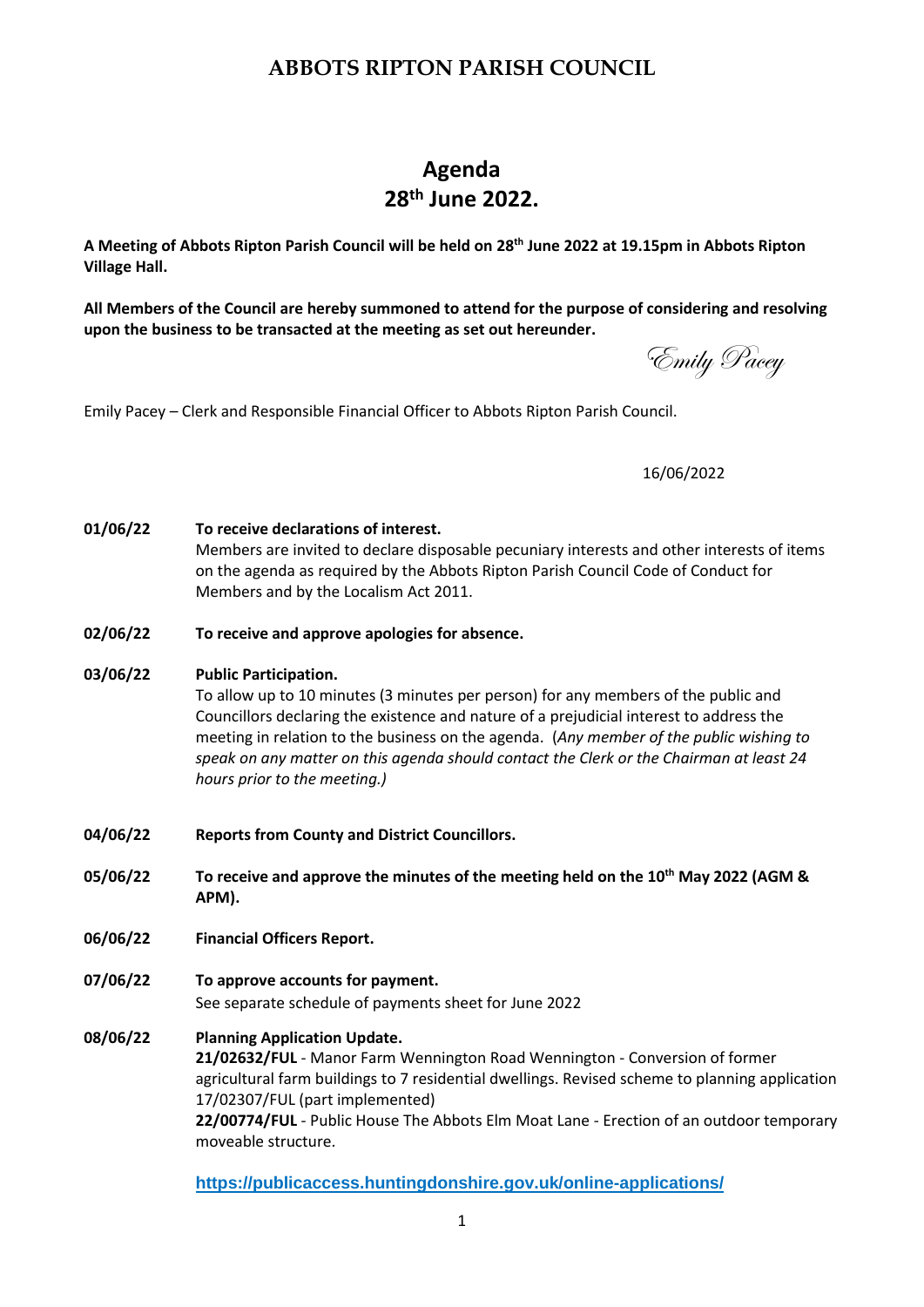## **ABBOTS RIPTON PARISH COUNCIL**

## **Agenda 28th June 2022.**

**A Meeting of Abbots Ripton Parish Council will be held on 28th June 2022 at 19.15pm in Abbots Ripton Village Hall.**

**All Members of the Council are hereby summoned to attend for the purpose of considering and resolving upon the business to be transacted at the meeting as set out hereunder.**

Emily Pacey – Clerk and Responsible Financial Officer to Abbots Ripton Parish Council.

16/06/2022

**01/06/22 To receive declarations of interest.** Members are invited to declare disposable pecuniary interests and other interests of items on the agenda as required by the Abbots Ripton Parish Council Code of Conduct for Members and by the Localism Act 2011.

- **02/06/22 To receive and approve apologies for absence.**
- **03/06/22 Public Participation.**

To allow up to 10 minutes (3 minutes per person) for any members of the public and Councillors declaring the existence and nature of a prejudicial interest to address the meeting in relation to the business on the agenda. (*Any member of the public wishing to speak on any matter on this agenda should contact the Clerk or the Chairman at least 24 hours prior to the meeting.)*

- **04/06/22 Reports from County and District Councillors.**
- **05/06/22 To receive and approve the minutes of the meeting held on the 10th May 2022 (AGM & APM).**
- **06/06/22 Financial Officers Report.**
- **07/06/22 To approve accounts for payment.**  See separate schedule of payments sheet for June 2022
- **08/06/22 Planning Application Update. 21/02632/FUL** - Manor Farm Wennington Road Wennington - Conversion of former agricultural farm buildings to 7 residential dwellings. Revised scheme to planning application 17/02307/FUL (part implemented) **22/00774/FUL** - Public House The Abbots Elm Moat Lane - Erection of an outdoor temporary moveable structure.

**<https://publicaccess.huntingdonshire.gov.uk/online-applications/>**

Emily Pacey